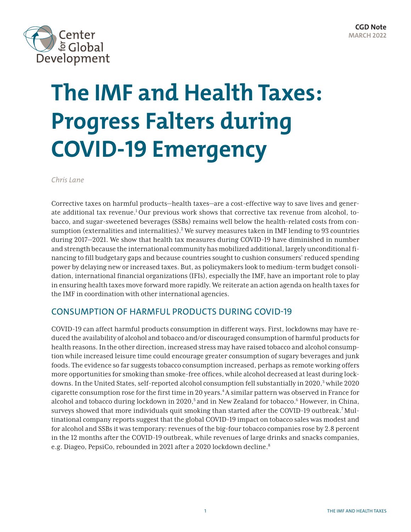<span id="page-0-0"></span>

# **The IMF and Health Taxes: Progress Falters during COVID-19 Emergency**

*Chris Lane*

Corrective taxes on harmful products—health taxes—are a cost-effective way to save lives and generate additional tax revenue.<sup>1</sup> Our previous work shows that corrective tax revenue from alcohol, tobacco, and sugar-sweetened beverages (SSBs) remains well below the health-related costs from con-sumption (externalities and internalities).<sup>[2](#page-6-0)</sup> We survey measures taken in IMF lending to 93 countries during 2017—2021. We show that health tax measures during COVID-19 have diminished in number and strength because the international community has mobilized additional, largely unconditional financing to fill budgetary gaps and because countries sought to cushion consumers' reduced spending power by delaying new or increased taxes. But, as policymakers look to medium-term budget consolidation, international financial organizations (IFIs), especially the IMF, have an important role to play in ensuring health taxes move forward more rapidly. We reiterate an action agenda on health taxes for the IMF in coordination with other international agencies.

#### CONSUMPTION OF HARMFUL PRODUCTS DURING COVID-19

COVID-19 can affect harmful products consumption in different ways. First, lockdowns may have reduced the availability of alcohol and tobacco and/or discouraged consumption of harmful products for health reasons. In the other direction, increased stress may have raised tobacco and alcohol consumption while increased leisure time could encourage greater consumption of sugary beverages and junk foods. The evidence so far suggests tobacco consumption increased, perhaps as remote working offers more opportunities for smoking than smoke-free offices, while alcohol decreased at least during lockdowns. In the United States, self-reported alcohol consumption fell substantially in 2020,<sup>3</sup> while 2020 cigarette consumption rose for the first time in 20 years[.4A](#page-6-0) similar pattern was observed in France for alcohol and tobacco during lockdown in 2020,<sup>5</sup> and in New Zealand for tobacco.<sup>[6](#page-6-0)</sup> However, in China, surveys showed that more individuals quit smoking than started after the COVID-19 outbreak.[7](#page-6-0)Multinational company reports suggest that the global COVID-19 impact on tobacco sales was modest and for alcohol and SSBs it was temporary: revenues of the big-four tobacco companies rose by 2.8 percent in the 12 months after the COVID-19 outbreak, while revenues of large drinks and snacks companies, e.g. Diageo, PepsiCo, rebounded in 2021 after a 2020 lockdown decline.<sup>[8](#page-6-0)</sup>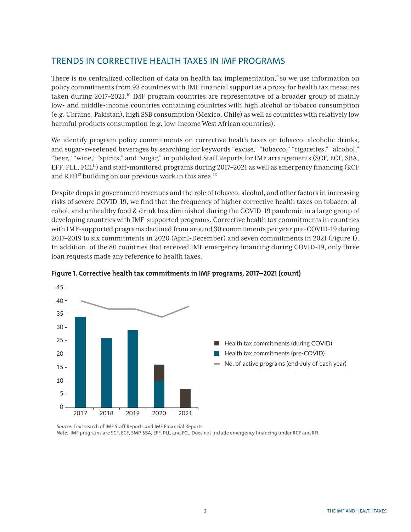# <span id="page-1-0"></span>TRENDS IN CORRECTIVE HEALTH TAXES IN IMF PROGRAMS

There is no centralized collection of data on health tax implementation,<sup>[9](#page-6-0)</sup> so we use information on policy commitments from 93 countries with IMF financial support as a proxy for health tax measures taken during 2017–2021.<sup>10</sup> IMF program countries are representative of a broader group of mainly low- and middle-income countries containing countries with high alcohol or tobacco consumption (e.g. Ukraine, Pakistan), high SSB consumption (Mexico, Chile) as well as countries with relatively low harmful products consumption (e.g. low-income West African countries).

We identify program policy commitments on corrective health taxes on tobacco, alcoholic drinks, and sugar-sweetened beverages by searching for keywords "excise," "tobacco," "cigarettes," "alcohol," "beer," "wine," "spirits," and "sugar," in published Staff Reports for IMF arrangements (SCF, ECF, SBA, EFF, PLL,  $FCL<sup>11</sup>$ ) and staff-monitored programs during 2017–2021 as well as emergency financing (RCF) and RFI $)$ <sup>[12](#page-7-0)</sup> building on our previous work in this area.<sup>[13](#page-7-0)</sup>

Despite drops in government revenues and the role of tobacco, alcohol, and other factors in increasing risks of severe COVID-19, we find that the frequency of higher corrective health taxes on tobacco, alcohol, and unhealthy food & drink has diminished during the COVID-19 pandemic in a large group of developing countries with IMF-supported programs. Corrective health tax commitments in countries with IMF-supported programs declined from around 30 commitments per year pre-COVID-19 during 2017–2019 to six commitments in 2020 (April-December) and seven commitments in 2021 (Figure 1). In addition, of the 80 countries that received IMF emergency financing during COVID-19, only three loan requests made any reference to health taxes.



**Figure 1. Corrective health tax commitments in IMF programs, 2017–2021 (count)**

*Source:* Text search of IMF Staff Reports and IMF Financial Reports. *Note:* IMF programs are SCF, ECF, SMP, SBA, EFF, PLL, and FCL. Does not include emergency financing under RCF and RFI.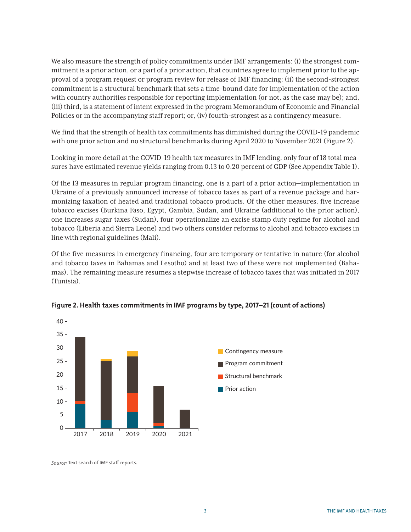We also measure the strength of policy commitments under IMF arrangements: (i) the strongest commitment is a prior action, or a part of a prior action, that countries agree to implement prior to the approval of a program request or program review for release of IMF financing; (ii) the second-strongest commitment is a structural benchmark that sets a time-bound date for implementation of the action with country authorities responsible for reporting implementation (or not, as the case may be); and, (iii) third, is a statement of intent expressed in the program Memorandum of Economic and Financial Policies or in the accompanying staff report; or, (iv) fourth-strongest as a contingency measure.

We find that the strength of health tax commitments has diminished during the COVID-19 pandemic with one prior action and no structural benchmarks during April 2020 to November 2021 (Figure 2).

Looking in more detail at the COVID-19 health tax measures in IMF lending, only four of 18 total measures have estimated revenue yields ranging from 0.13 to 0.20 percent of GDP (See Appendix Table 1).

Of the 13 measures in regular program financing, one is a part of a prior action—implementation in Ukraine of a previously announced increase of tobacco taxes as part of a revenue package and harmonizing taxation of heated and traditional tobacco products. Of the other measures, five increase tobacco excises (Burkina Faso, Egypt, Gambia, Sudan, and Ukraine (additional to the prior action), one increases sugar taxes (Sudan), four operationalize an excise stamp duty regime for alcohol and tobacco (Liberia and Sierra Leone) and two others consider reforms to alcohol and tobacco excises in line with regional guidelines (Mali).

Of the five measures in emergency financing, four are temporary or tentative in nature (for alcohol and tobacco taxes in Bahamas and Lesotho) and at least two of these were not implemented (Bahamas). The remaining measure resumes a stepwise increase of tobacco taxes that was initiated in 2017 (Tunisia).





*Source:* Text search of IMF staff reports.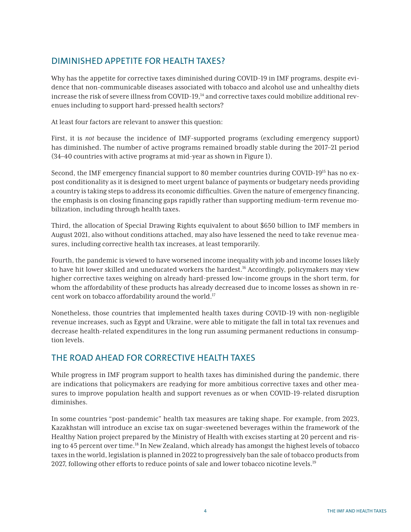# <span id="page-3-0"></span>DIMINISHED APPETITE FOR HEALTH TAXES?

Why has the appetite for corrective taxes diminished during COVID-19 in IMF programs, despite evidence that non-communicable diseases associated with tobacco and alcohol use and unhealthy diets increase the risk of severe illness from COVID-19,<sup>[14](#page-7-0)</sup> and corrective taxes could mobilize additional revenues including to support hard-pressed health sectors?

At least four factors are relevant to answer this question:

First, it is *not* because the incidence of IMF-supported programs (excluding emergency support) has diminished. The number of active programs remained broadly stable during the 2017–21 period (34–40 countries with active programs at mid-year as shown in Figure 1).

Second, the IMF emergency financial support to 80 member countries during COVID-19<sup>[15](#page-7-0)</sup> has no expost conditionality as it is designed to meet urgent balance of payments or budgetary needs providing a country is taking steps to address its economic difficulties. Given the nature of emergency financing, the emphasis is on closing financing gaps rapidly rather than supporting medium-term revenue mobilization, including through health taxes.

Third, the allocation of Special Drawing Rights equivalent to about \$650 billion to IMF members in August 2021, also without conditions attached, may also have lessened the need to take revenue measures, including corrective health tax increases, at least temporarily.

Fourth, the pandemic is viewed to have worsened income inequality with job and income losses likely to have hit lower skilled and uneducated workers the hardest.<sup>16</sup> Accordingly, policymakers may view higher corrective taxes weighing on already hard-pressed low-income groups in the short term, for whom the affordability of these products has already decreased due to income losses as shown in re-cent work on tobacco affordability around the world.<sup>[17](#page-7-0)</sup>

Nonetheless, those countries that implemented health taxes during COVID-19 with non-negligible revenue increases, such as Egypt and Ukraine, were able to mitigate the fall in total tax revenues and decrease health-related expenditures in the long run assuming permanent reductions in consumption levels.

# THE ROAD AHEAD FOR CORRECTIVE HEALTH TAXES

While progress in IMF program support to health taxes has diminished during the pandemic, there are indications that policymakers are readying for more ambitious corrective taxes and other measures to improve population health and support revenues as or when COVID-19-related disruption diminishes.

In some countries "post-pandemic" health tax measures are taking shape. For example, from 2023, Kazakhstan will introduce an excise tax on sugar-sweetened beverages within the framework of the Healthy Nation project prepared by the Ministry of Health with excises starting at 20 percent and rising to 45 percent over time.<sup>18</sup> In New Zealand, which already has amongst the highest levels of tobacco taxes in the world, legislation is planned in 2022 to progressively ban the sale of tobacco products from 2027, following other efforts to reduce points of sale and lower tobacco nicotine levels.<sup>[19](#page-7-0)</sup>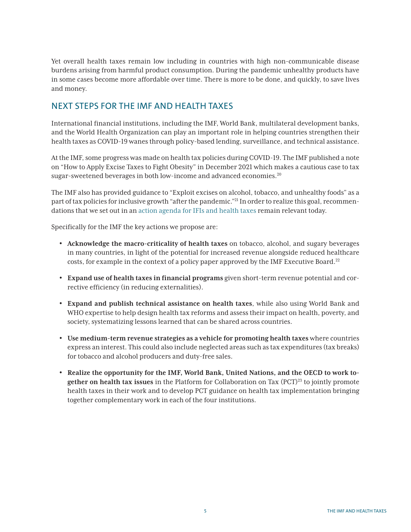<span id="page-4-0"></span>Yet overall health taxes remain low including in countries with high non-communicable disease burdens arising from harmful product consumption. During the pandemic unhealthy products have in some cases become more affordable over time. There is more to be done, and quickly, to save lives and money.

## NEXT STEPS FOR THE IMF AND HEALTH TAXES

International financial institutions, including the IMF, World Bank, multilateral development banks, and the World Health Organization can play an important role in helping countries strengthen their health taxes as COVID-19 wanes through policy-based lending, surveillance, and technical assistance.

At the IMF, some progress was made on health tax policies during COVID-19. The IMF published a note on "How to Apply Excise Taxes to Fight Obesity" in December 2021 which makes a cautious case to tax sugar-sweetened beverages in both low-income and advanced economies.<sup>[20](#page-7-0)</sup>

The IMF also has provided guidance to "Exploit excises on alcohol, tobacco, and unhealthy foods" as a part of tax policies for inclusive growth "after the pandemic."[21](#page-7-0) In order to realize this goal, recommendations that we set out in an [action agenda for IFIs and health taxes](https://www.cgdev.org/publication/using-health-taxes-support-revenue-action-agenda-imf-and-world-bank) remain relevant today.

Specifically for the IMF the key actions we propose are:

- **Acknowledge the macro-criticality of health taxes** on tobacco, alcohol, and sugary beverages in many countries, in light of the potential for increased revenue alongside reduced healthcare costs, for example in the context of a policy paper approved by the IMF Executive Board.<sup>22</sup>
- **Expand use of health taxes in financial programs** given short-term revenue potential and corrective efficiency (in reducing externalities).
- **Expand and publish technical assistance on health taxes**, while also using World Bank and WHO expertise to help design health tax reforms and assess their impact on health, poverty, and society, systematizing lessons learned that can be shared across countries.
- **Use medium-term revenue strategies as a vehicle for promoting health taxes** where countries express an interest. This could also include neglected areas such as tax expenditures (tax breaks) for tobacco and alcohol producers and duty-free sales.
- **Realize the opportunity for the IMF, World Bank, United Nations, and the OECD to work together on health tax issues** in the Platform for Collaboration on Tax (PCT)<sup>[23](#page-7-0)</sup> to jointly promote health taxes in their work and to develop PCT guidance on health tax implementation bringing together complementary work in each of the four institutions.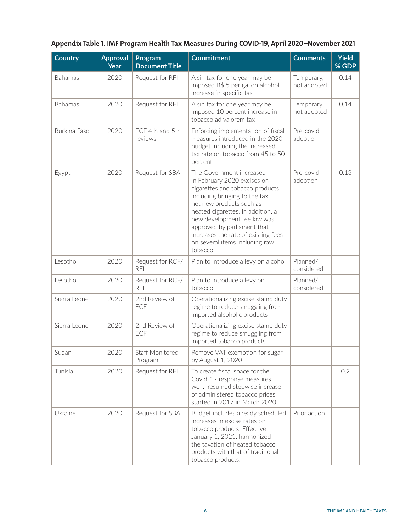### **Appendix Table 1. IMF Program Health Tax Measures During COVID-19, April 2020–November 2021**

| <b>Country</b> | <b>Approval</b><br><b>Year</b> | Program<br><b>Document Title</b> | <b>Commitment</b>                                                                                                                                                                                                                                                                                                                               | <b>Comments</b>           | <b>Yield</b><br>% GDP |
|----------------|--------------------------------|----------------------------------|-------------------------------------------------------------------------------------------------------------------------------------------------------------------------------------------------------------------------------------------------------------------------------------------------------------------------------------------------|---------------------------|-----------------------|
| <b>Bahamas</b> | 2020                           | Request for RFI                  | A sin tax for one year may be<br>imposed B\$ 5 per gallon alcohol<br>increase in specific tax                                                                                                                                                                                                                                                   | Temporary,<br>not adopted | 0.14                  |
| Bahamas        | 2020                           | Request for RFI                  | A sin tax for one year may be<br>imposed 10 percent increase in<br>tobacco ad valorem tax                                                                                                                                                                                                                                                       | Temporary,<br>not adopted | 0.14                  |
| Burkina Faso   | 2020                           | ECF 4th and 5th<br>reviews       | Enforcing implementation of fiscal<br>measures introduced in the 2020<br>budget including the increased<br>tax rate on tobacco from 45 to 50<br>percent                                                                                                                                                                                         | Pre-covid<br>adoption     |                       |
| Egypt          | 2020                           | Request for SBA                  | The Government increased<br>in February 2020 excises on<br>cigarettes and tobacco products<br>including bringing to the tax<br>net new products such as<br>heated cigarettes. In addition, a<br>new development fee law was<br>approved by parliament that<br>increases the rate of existing fees<br>on several items including raw<br>tobacco. | Pre-covid<br>adoption     | 0.13                  |
| Lesotho        | 2020                           | Request for RCF/<br><b>RFI</b>   | Plan to introduce a levy on alcohol                                                                                                                                                                                                                                                                                                             | Planned/<br>considered    |                       |
| Lesotho        | 2020                           | Request for RCF/<br><b>RFI</b>   | Plan to introduce a levy on<br>tobacco                                                                                                                                                                                                                                                                                                          | Planned/<br>considered    |                       |
| Sierra Leone   | 2020                           | 2nd Review of<br>ECF             | Operationalizing excise stamp duty<br>regime to reduce smuggling from<br>imported alcoholic products                                                                                                                                                                                                                                            |                           |                       |
| Sierra Leone   | 2020                           | 2nd Review of<br>ECF             | Operationalizing excise stamp duty<br>regime to reduce smuggling from<br>imported tobacco products                                                                                                                                                                                                                                              |                           |                       |
| Sudan          | 2020                           | Staff Monitored<br>Program       | Remove VAT exemption for sugar<br>by August 1, 2020                                                                                                                                                                                                                                                                                             |                           |                       |
| Tunisia        | 2020                           | Request for RFI                  | To create fiscal space for the<br>Covid-19 response measures<br>we  resumed stepwise increase<br>of administered tobacco prices<br>started in 2017 in March 2020.                                                                                                                                                                               |                           | 0.2                   |
| Ukraine        | 2020                           | Request for SBA                  | Budget includes already scheduled<br>increases in excise rates on<br>tobacco products. Effective<br>January 1, 2021, harmonized<br>the taxation of heated tobacco<br>products with that of traditional<br>tobacco products.                                                                                                                     | Prior action              |                       |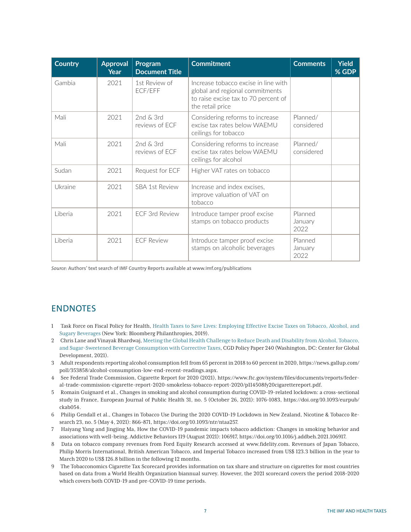<span id="page-6-0"></span>

| <b>Country</b> | <b>Approval</b><br>Year | Program<br><b>Document Title</b> | <b>Commitment</b>                                                                                                                   | <b>Comments</b>            | <b>Yield</b><br>% GDP |
|----------------|-------------------------|----------------------------------|-------------------------------------------------------------------------------------------------------------------------------------|----------------------------|-----------------------|
| Gambia         | 2021                    | 1st Review of<br>ECF/EFF         | Increase tobacco excise in line with<br>global and regional commitments<br>to raise excise tax to 70 percent of<br>the retail price |                            |                       |
| Mali           | 2021                    | 2nd & 3rd<br>reviews of FCF      | Considering reforms to increase<br>excise tax rates below WAFMU<br>ceilings for tobacco                                             | Planned/<br>considered     |                       |
| Mali           | 2021                    | 2nd & 3rd<br>reviews of FCF      | Considering reforms to increase<br>excise tax rates below WAFMU<br>ceilings for alcohol                                             | Planned/<br>considered     |                       |
| Sudan          | 2021                    | Request for ECF                  | Higher VAT rates on tobacco                                                                                                         |                            |                       |
| Ukraine        | 2021                    | <b>SBA 1st Review</b>            | Increase and index excises,<br>improve valuation of VAT on<br>tobacco                                                               |                            |                       |
| Liberia        | 2021                    | FCF 3rd Review                   | Introduce tamper proof excise<br>stamps on tobacco products                                                                         | Planned<br>January<br>2022 |                       |
| Liberia        | 2021                    | <b>ECF Review</b>                | Introduce tamper proof excise<br>stamps on alcoholic beverages                                                                      | Planned<br>January<br>2022 |                       |

*Source:* Authors' text search of IMF Country Reports available at [www.imf.org/publications](http://www.imf.org/publications)

#### ENDNOTES

- [1](#page-0-0) Task Force on Fiscal Policy for Health, [Health Taxes to Save Lives: Employing Effective Excise Taxes on Tobacco, Alcohol, and](https://www.bloomberg.org/public-health/building-public-health-coalitions/task-force-on-fiscal-policy-for-health/)  [Sugary Beverages](https://www.bloomberg.org/public-health/building-public-health-coalitions/task-force-on-fiscal-policy-for-health/) (New York: Bloomberg Philanthropies, 2019).
- [2](#page-0-0) Chris Lane and Vinayak Bhardwaj, [Meeting the Global Health Challenge to Reduce Death and Disability from Alcohol, Tobacco,](https://www.cgdev.org/publication/meeting-global-health-challenge-reduce-death-and-disability-alcohol-tobacco-and-sugar)  [and Sugar-Sweetened Beverage Consumption with Corrective Taxes,](https://www.cgdev.org/publication/meeting-global-health-challenge-reduce-death-and-disability-alcohol-tobacco-and-sugar) CGD Policy Paper 240 (Washington, DC: Center for Global Development, 2021).
- [3](#page-0-0) Adult respondents reporting alcohol consumption fell from 65 percent in 2018 to 60 percent in 2020, [https://news.gallup.com/](https://news.gallup.com/poll/353858/alcohol-consumption-low-end-recent-readings.aspx) [poll/353858/alcohol-consumption-low-end-recent-readings.aspx.](https://news.gallup.com/poll/353858/alcohol-consumption-low-end-recent-readings.aspx)
- [4](#page-0-0) See Federal Trade Commission, Cigarette Report for 2020 (2021), [https://www.ftc.gov/system/files/documents/reports/feder](https://www.ftc.gov/system/files/documents/reports/federal-trade-commission-cigarette-report-2020-smokeless-tobacco-report-2020/p114508fy20cigarettereport.pdf)[al-trade-commission-cigarette-report-2020-smokeless-tobacco-report-2020/p114508fy20cigarettereport.pdf.](https://www.ftc.gov/system/files/documents/reports/federal-trade-commission-cigarette-report-2020-smokeless-tobacco-report-2020/p114508fy20cigarettereport.pdf)
- [5](#page-0-0) Romain Guignard et al., Changes in smoking and alcohol consumption during COVID-19-related lockdown: a cross-sectional study in France, European Journal of Public Health 31, no. 5 (October 26, 2021): 1076–1083, [https://doi.org/10.1093/eurpub/](https://doi.org/10.1093/eurpub/ckab054) [ckab054](https://doi.org/10.1093/eurpub/ckab054).
- [6](#page-0-0) Philip Gendall et al., Changes in Tobacco Use During the 2020 COVID-19 Lockdown in New Zealand, Nicotine & Tobacco Research 23, no. 5 (May 4, 2021): 866–871, <https://doi.org/10.1093/ntr/ntaa257>.
- [7](#page-0-0) Haiyang Yang and Jingjing Ma, How the COVID-19 pandemic impacts tobacco addiction: Changes in smoking behavior and associations with well-being, Addictive Behaviors 119 (August 2021): 106917, <https://doi.org/10.1016/j.addbeh.2021.106917>.
- [8](#page-0-0) Data on tobacco company revenues from Ford Equity Research accessed at [www.fidelity.com.](http://www.fidelity.com) Revenues of Japan Tobacco, Philip Morris International, British American Tobacco, and Imperial Tobacco increased from US\$ 123.3 billion in the year to March 2020 to US\$ 126.8 billion in the following 12 months.
- [9](#page-1-0) The Tobacconomics Cigarette Tax Scorecard provides information on tax share and structure on cigarettes for most countries based on data from a World Health Organization biannual survey. However, the 2021 scorecard covers the period 2018–2020 which covers both COVID-19 and pre-COVID-19 time periods.